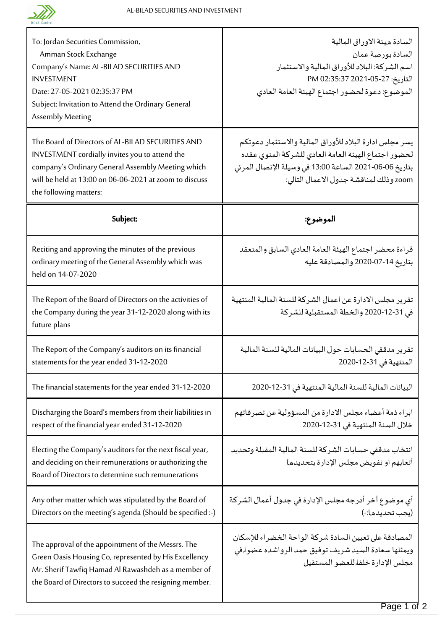

| To: Jordan Securities Commission,<br>Amman Stock Exchange<br>Company's Name: AL-BILAD SECURITIES AND<br><b>INVESTMENT</b><br>Date: 27-05-2021 02:35:37 PM<br>Subject: Invitation to Attend the Ordinary General<br>Assembly Meeting          | السادة ميئة الاوراق المالية<br>السادة بورصة عمان<br>اسم الشركة: البلاد للأوراق المالية والاستثمار<br>التاريخ: 05-25-2021 02:35:37 PM<br>الموضوع: دعوة لحضور اجتماع الهيئة العامة العادي                             |
|----------------------------------------------------------------------------------------------------------------------------------------------------------------------------------------------------------------------------------------------|---------------------------------------------------------------------------------------------------------------------------------------------------------------------------------------------------------------------|
| The Board of Directors of AL-BILAD SECURITIES AND<br>INVESTMENT cordially invites you to attend the<br>company's Ordinary General Assembly Meeting which<br>will be held at 13:00 on 06-06-2021 at zoom to discuss<br>the following matters: | يسر مجلس ادارة البلاد للأوراق المالية والاستثمار دعوتكم<br>لحضور اجتماع الهيئة العامة العادي للشركة المنوى عقده<br>بتاريخ 06-06-2021 الساعة 13:00 في وسيلة الإتصال المرئي<br>zoom وذلك لمناقشة جدول الاعمال التالي: |
| Subject:                                                                                                                                                                                                                                     | الموضوع:                                                                                                                                                                                                            |
| Reciting and approving the minutes of the previous<br>ordinary meeting of the General Assembly which was<br>held on 14-07-2020                                                                                                               | قراءة محضر اجتماع الهيئة العامة العادي السابق والمنعقد<br>بتاريخ 14-07-2020 والمصادقة عليه                                                                                                                          |
| The Report of the Board of Directors on the activities of<br>the Company during the year 31-12-2020 along with its<br>future plans                                                                                                           | تقرير مجلس الادارة عن اعمال الشركة للسنة المالية المنتهية<br>في 31-12-2020 والخطة المستقبلية للشركة                                                                                                                 |
| The Report of the Company's auditors on its financial<br>statements for the year ended 31-12-2020                                                                                                                                            | تقرير مدققى الحسابات حول البيانات المالية للسنة المالية<br>المنتهية في 31-12-2020                                                                                                                                   |
| The financial statements for the year ended 31-12-2020                                                                                                                                                                                       | البيانات المالية للسنة المالية المنتهية في 31-12-2020                                                                                                                                                               |
| Discharging the Board's members from their liabilities in<br>respect of the financial year ended 31-12-2020                                                                                                                                  | ابراء ذمة أعضاء مجلس الادارة من المسؤولية عن تصرفاتهم<br>خلال السنة المنتهية في 31-12-2020                                                                                                                          |
| Electing the Company's auditors for the next fiscal year,<br>and deciding on their remunerations or authorizing the<br>Board of Directors to determine such remunerations                                                                    | انتخاب مدققي حسابات الشركة للسنة المالية المقبلة وتحديد<br>أتعابهم او تفويض مجلس الإدارة بتحديدها                                                                                                                   |
| Any other matter which was stipulated by the Board of<br>Directors on the meeting's agenda (Should be specified :-)                                                                                                                          | أي موضوع آخر أدرجه مجلس الإدارة في جدول أعمال الشركة<br>(يجب تحديدها:-)                                                                                                                                             |
| The approval of the appointment of the Messrs. The<br>Green Oasis Housing Co, represented by His Excellency<br>Mr. Sherif Tawfiq Hamad Al Rawashdeh as a member of<br>the Board of Directors to succeed the resigning member.                | المصادقة على تعيين السادة شركة الواحة الخضراء للإسكان<br>ويمثلها سعادة السيد شريف توفيق حمد الرواشده عضوا في<br>مجلس الإدارة خلفا للعضو المستقيل                                                                    |